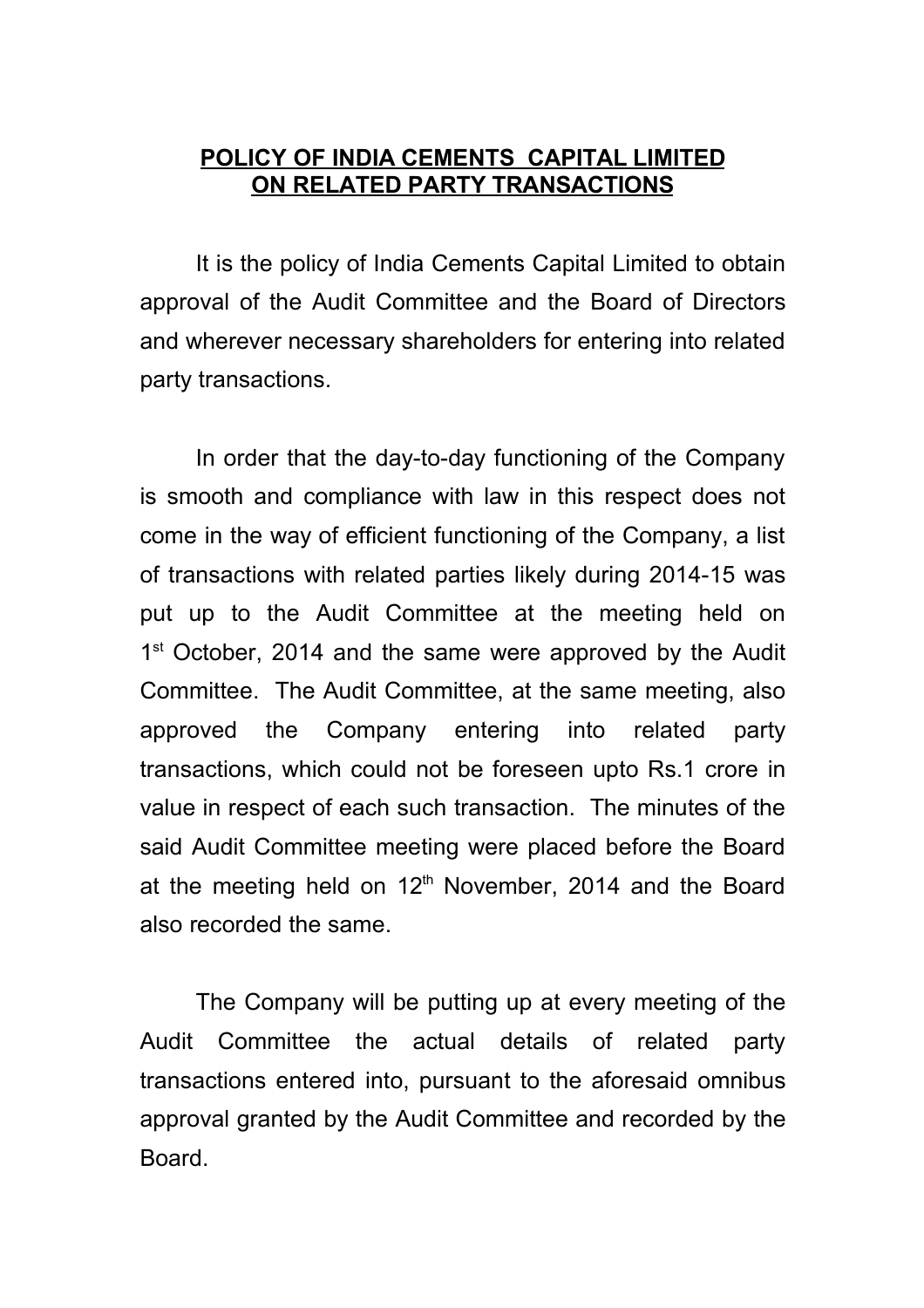## **POLICY OF INDIA CEMENTS CAPITAL LIMITED ON RELATED PARTY TRANSACTIONS**

It is the policy of India Cements Capital Limited to obtain approval of the Audit Committee and the Board of Directors and wherever necessary shareholders for entering into related party transactions.

In order that the day-to-day functioning of the Company is smooth and compliance with law in this respect does not come in the way of efficient functioning of the Company, a list of transactions with related parties likely during 2014-15 was put up to the Audit Committee at the meeting held on 1<sup>st</sup> October, 2014 and the same were approved by the Audit Committee. The Audit Committee, at the same meeting, also approved the Company entering into related party transactions, which could not be foreseen upto Rs.1 crore in value in respect of each such transaction. The minutes of the said Audit Committee meeting were placed before the Board at the meeting held on 12<sup>th</sup> November, 2014 and the Board also recorded the same.

The Company will be putting up at every meeting of the Audit Committee the actual details of related party transactions entered into, pursuant to the aforesaid omnibus approval granted by the Audit Committee and recorded by the Board.